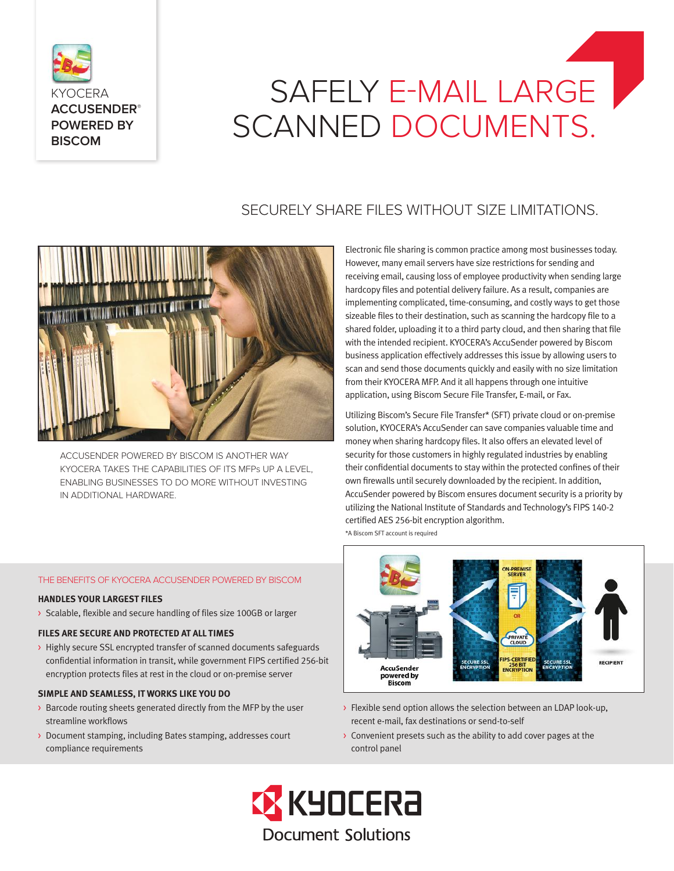

# SAFELY E-MAIL LARGE SCANNED DOCUMENTS.

# SECURELY SHARE FILES WITHOUT SIZE LIMITATIONS.



ACCUSENDER POWERED BY BISCOM IS ANOTHER WAY KYOCERA TAKES THE CAPABILITIES OF ITS MFPs UP A LEVEL, ENABLING BUSINESSES TO DO MORE WITHOUT INVESTING IN ADDITIONAL HARDWARE.

Electronic file sharing is common practice among most businesses today. However, many email servers have size restrictions for sending and receiving email, causing loss of employee productivity when sending large hardcopy files and potential delivery failure. As a result, companies are implementing complicated, time-consuming, and costly ways to get those sizeable files to their destination, such as scanning the hardcopy file to a shared folder, uploading it to a third party cloud, and then sharing that file with the intended recipient. KYOCERA's AccuSender powered by Biscom business application effectively addresses this issue by allowing users to scan and send those documents quickly and easily with no size limitation from their KYOCERA MFP. And it all happens through one intuitive application, using Biscom Secure File Transfer, E-mail, or Fax.

Utilizing Biscom's Secure File Transfer\* (SFT) private cloud or on-premise solution, KYOCERA's AccuSender can save companies valuable time and money when sharing hardcopy files. It also offers an elevated level of security for those customers in highly regulated industries by enabling their confidential documents to stay within the protected confines of their own firewalls until securely downloaded by the recipient. In addition, AccuSender powered by Biscom ensures document security is a priority by utilizing the National Institute of Standards and Technology's FIPS 140-2 certified AES 256-bit encryption algorithm.

\*A Biscom SFT account is required



- > Flexible send option allows the selection between an LDAP look-up, recent e-mail, fax destinations or send-to-self
- > Convenient presets such as the ability to add cover pages at the control panel



# THE BENEFITS OF KYOCERA ACCUSENDER POWERED BY BISCOM

# **HANDLES YOUR LARGEST FILES**

> Scalable, flexible and secure handling of files size 100GB or larger

# **FILES ARE SECURE AND PROTECTED AT ALL TIMES**

> Highly secure SSL encrypted transfer of scanned documents safeguards confidential information in transit, while government FIPS certified 256-bit encryption protects files at rest in the cloud or on-premise server

## **SIMPLE AND SEAMLESS, IT WORKS LIKE YOU DO**

- > Barcode routing sheets generated directly from the MFP by the user streamline workflows
- > Document stamping, including Bates stamping, addresses court compliance requirements